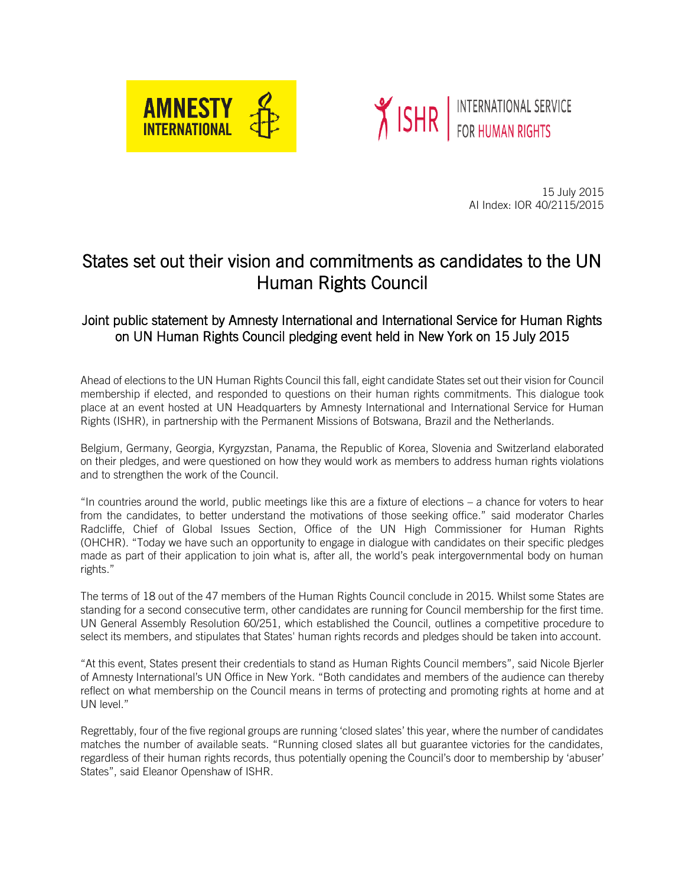



 15 July 2015 AI Index: IOR 40/2115/2015

## States set out their vision and commitments as candidates to the UN Human Rights Council

## Joint public statement by Amnesty International and International Service for Human Rights on UN Human Rights Council pledging event held in New York on 15 July 2015

Ahead of elections to the UN Human Rights Council this fall, eight candidate States set out their vision for Council membership if elected, and responded to questions on their human rights commitments. This dialogue took place at an event hosted at UN Headquarters by Amnesty International and International Service for Human Rights (ISHR), in partnership with the Permanent Missions of Botswana, Brazil and the Netherlands.

Belgium, Germany, Georgia, Kyrgyzstan, Panama, the Republic of Korea, Slovenia and Switzerland elaborated on their pledges, and were questioned on how they would work as members to address human rights violations and to strengthen the work of the Council.

"In countries around the world, public meetings like this are a fixture of elections – a chance for voters to hear from the candidates, to better understand the motivations of those seeking office." said moderator Charles Radcliffe, Chief of Global Issues Section, Office of the UN High Commissioner for Human Rights (OHCHR). "Today we have such an opportunity to engage in dialogue with candidates on their specific pledges made as part of their application to join what is, after all, the world's peak intergovernmental body on human rights."

The terms of 18 out of the 47 members of the Human Rights Council conclude in 2015. Whilst some States are standing for a second consecutive term, other candidates are running for Council membership for the first time. UN General Assembly Resolution 60/251, which established the Council, outlines a competitive procedure to select its members, and stipulates that States' human rights records and pledges should be taken into account.

"At this event, States present their credentials to stand as Human Rights Council members", said Nicole Bjerler of Amnesty International's UN Office in New York. "Both candidates and members of the audience can thereby reflect on what membership on the Council means in terms of protecting and promoting rights at home and at UN level."

Regrettably, four of the five regional groups are running 'closed slates' this year, where the number of candidates matches the number of available seats. "Running closed slates all but guarantee victories for the candidates, regardless of their human rights records, thus potentially opening the Council's door to membership by 'abuser' States", said Eleanor Openshaw of ISHR.